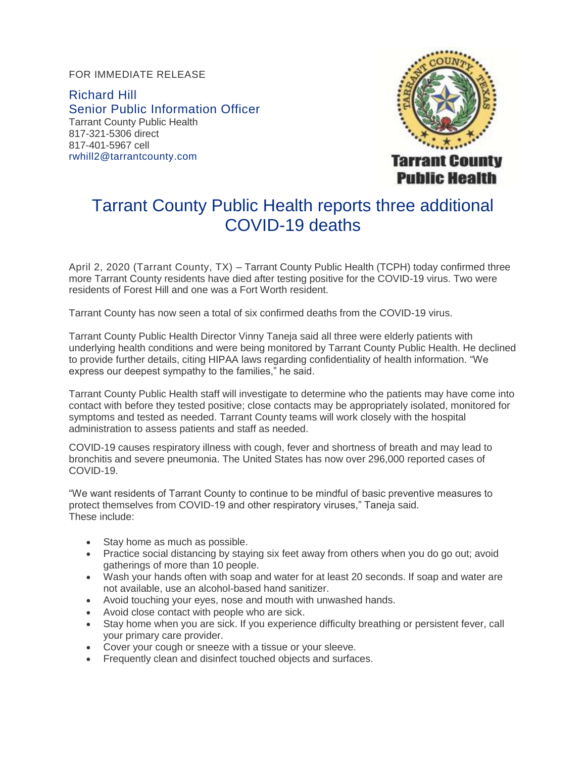FOR IMMEDIATE RELEASE

Richard Hill Senior Public Information Officer Tarrant County Public Health 817-321-5306 direct 817-401-5967 cell [rwhill2@tarrantcounty.com](mailto:rwhill2@tarrantcounty.com)



## Tarrant County Public Health reports three additional COVID-19 deaths

April 2, 2020 (Tarrant County, TX) – Tarrant County Public Health (TCPH) today confirmed three more Tarrant County residents have died after testing positive for the COVID-19 virus. Two were residents of Forest Hill and one was a Fort Worth resident.

Tarrant County has now seen a total of six confirmed deaths from the COVID-19 virus.

Tarrant County Public Health Director Vinny Taneja said all three were elderly patients with underlying health conditions and were being monitored by Tarrant County Public Health. He declined to provide further details, citing HIPAA laws regarding confidentiality of health information. "We express our deepest sympathy to the families," he said.

Tarrant County Public Health staff will investigate to determine who the patients may have come into contact with before they tested positive; close contacts may be appropriately isolated, monitored for symptoms and tested as needed. Tarrant County teams will work closely with the hospital administration to assess patients and staff as needed.

COVID-19 causes respiratory illness with cough, fever and shortness of breath and may lead to bronchitis and severe pneumonia. The United States has now over 296,000 reported cases of COVID-19.

"We want residents of Tarrant County to continue to be mindful of basic preventive measures to protect themselves from COVID-19 and other respiratory viruses," Taneja said. These include:

- Stay home as much as possible.
- Practice social distancing by staying six feet away from others when you do go out; avoid gatherings of more than 10 people.
- Wash your hands often with soap and water for at least 20 seconds. If soap and water are not available, use an alcohol-based hand sanitizer.
- Avoid touching your eyes, nose and mouth with unwashed hands.
- Avoid close contact with people who are sick.
- Stay home when you are sick. If you experience difficulty breathing or persistent fever, call your primary care provider.
- Cover your cough or sneeze with a tissue or your sleeve.
- Frequently clean and disinfect touched objects and surfaces.